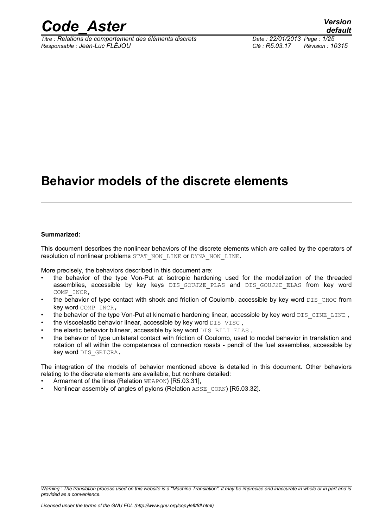

*Titre : Relations de comportement des éléments discrets Date : 22/01/2013 Page : 1/25 Responsable : Jean-Luc FLÉJOU Clé : R5.03.17 Révision : 10315*

# **Behavior models of the discrete elements**

#### **Summarized:**

This document describes the nonlinear behaviors of the discrete elements which are called by the operators of resolution of nonlinear problems STAT\_NON\_LINE or DYNA\_NON\_LINE.

More precisely, the behaviors described in this document are:

- the behavior of the type Von-Put at isotropic hardening used for the modelization of the threaded assemblies, accessible by key keys DIS\_GOUJ2E\_PLAS and DIS\_GOUJ2E\_ELAS from key word COMP\_INCR,
- the behavior of type contact with shock and friction of Coulomb, accessible by key word DIS\_CHOC from key word COMP\_INCR,
- the behavior of the type Von-Put at kinematic hardening linear, accessible by key word  $DISCLINE$ .
- the viscoelastic behavior linear, accessible by key word DIS\_VISC,
- the elastic behavior bilinear, accessible by key word DIS\_BILI\_ELAS,
- the behavior of type unilateral contact with friction of Coulomb, used to model behavior in translation and rotation of all within the competences of connection roasts - pencil of the fuel assemblies, accessible by key word DIS\_GRICRA.

The integration of the models of behavior mentioned above is detailed in this document. Other behaviors relating to the discrete elements are available, but nonhere detailed:

- Armament of the lines (Relation WEAPON) [R5.03.31],
- Nonlinear assembly of angles of pylons (Relation ASSE CORN) [R5.03.32].

*Warning : The translation process used on this website is a "Machine Translation". It may be imprecise and inaccurate in whole or in part and is provided as a convenience.*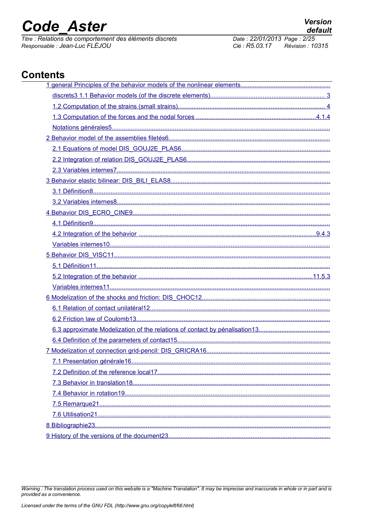# **Code Aster**

Titre : Relations de comportement des éléments discrets Responsable : Jean-Luc FLÉJOU

Date: 22/01/2013 Page: 2/25 Clé : R5.03.17 Révision : 10315

# **Contents**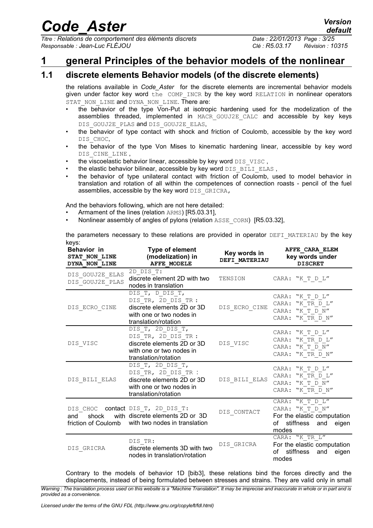*Titre : Relations de comportement des éléments discrets Date : 22/01/2013 Page : 3/25 Responsable : Jean-Luc FLÉJOU Clé : R5.03.17 Révision : 10315*

# <span id="page-2-0"></span>**1 general Principles of the behavior models of the nonlinear**

### **1.1 discrete elements Behavior models (of the discrete elements)**

<span id="page-2-1"></span>the relations available in *Code\_Aster* for the discrete elements are incremental behavior models given under factor key word  $\overline{\text{the}}$  COMP INCR by the key word RELATION in nonlinear operators STAT\_NON\_LINE and DYNA\_NON\_LINE. There are:

- the behavior of the type Von-Put at isotropic hardening used for the modelization of the assemblies threaded, implemented in MACR GOUJ2E CALC and accessible by key keys DIS\_GOUJ2E\_PLAS and DIS\_GOUJ2E\_ELAS,
- the behavior of type contact with shock and friction of Coulomb, accessible by the key word DIS\_CHOC,
- the behavior of the type Von Mises to kinematic hardening linear, accessible by key word DIS CINE LINE,
- the viscoelastic behavior linear, accessible by key word DIS\_VISC,
- the elastic behavior bilinear, accessible by key word DIS\_BILI\_ELAS,
- the behavior of type unilateral contact with friction of Coulomb, used to model behavior in translation and rotation of all within the competences of connection roasts - pencil of the fuel assemblies, accessible by the key word DIS\_GRICRA,

And the behaviors following, which are not here detailed:

- Armament of the lines (relation ARMS) [R5.03.31],
- Nonlinear assembly of angles of pylons (relation ASSE\_CORN) [R5.03.32],

the parameters necessary to these relations are provided in operator DEFI\_MATERIAU by the key keys:

| Behavior in<br>STAT NON LINE<br>DYNA NON LINE | Type of element<br>(modelization) in<br><b>AFFE MODELE</b>                                                                | Key words in<br>DEFI MATERIAU | AFFE CARA ELEM<br>key words under<br><b>DISCRET</b>                                                                   |
|-----------------------------------------------|---------------------------------------------------------------------------------------------------------------------------|-------------------------------|-----------------------------------------------------------------------------------------------------------------------|
| DIS GOUJ2E ELAS<br>DIS GOUJ2E PLAS            | 2D DIS T:<br>discrete element 2D with two<br>nodes in translation                                                         | TENSION                       | CARA: "K T D L"                                                                                                       |
| DIS ECRO CINE                                 | DIS T, D DIS T,<br>DIS TR, 2D DIS TR :<br>discrete elements 2D or 3D<br>with one or two nodes in<br>translation/rotation  | DIS ECRO CINE                 | CARA: "K T D L"<br>CARA: "K_TR_D_L"<br>CARA: " $K$ $\overline{T}$ $\overline{D}$ $\overline{N}$ "<br>CARA: "K TR D N" |
| DIS VISC                                      | DIS T, 2D DIS T,<br>DIS TR, 2D DIS TR :<br>discrete elements 2D or 3D<br>with one or two nodes in<br>translation/rotation | DIS VISC                      | CARA: "K T D L"<br>CARA: "K TR D L"<br>CARA: " $K T D N''$<br>CARA: "K TR D N"                                        |
| DIS BILI ELAS                                 | DIS T, 2D_DIS_T,<br>DIS TR, 2D DIS TR :<br>discrete elements 2D or 3D<br>with one or two nodes in<br>translation/rotation | $\verb DIS_BILI_ELAS $        | CARA: "K T D L"<br>CARA: "K TR D L"<br>CARA: "K T D N"<br>CARA: "K TR D N"                                            |
| shock<br>and                                  | DIS CHOC contact DIS T, 2D DIS T:<br>with discrete elements 2D or 3D<br>friction of Coulomb with two nodes in translation | DIS_CONTACT                   | CARA: "K T D L"<br>CARA: "K T D N"<br>For the elastic computation<br>of stiffness and eigen<br>modes                  |
| DIS_GRICRA                                    | DIS TR:<br>discrete elements 3D with two<br>nodes in translation/rotation                                                 | DIS_GRICRA                    | CARA: "K TR L"<br>For the elastic computation<br>of stiffness<br>and eigen<br>modes                                   |

Contrary to the models of behavior 1D [bib3], these relations bind the forces directly and the displacements, instead of being formulated between stresses and strains. They are valid only in small

*Warning : The translation process used on this website is a "Machine Translation". It may be imprecise and inaccurate in whole or in part and is provided as a convenience.*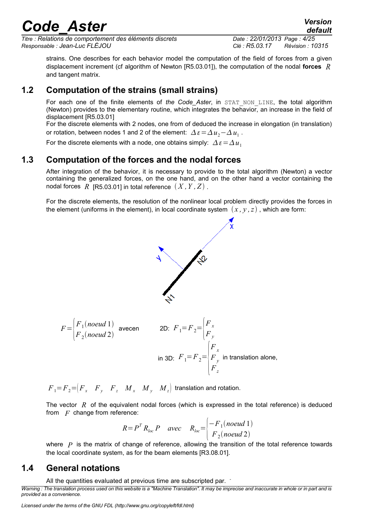*Titre : Relations de comportement des éléments discrets Date : 22/01/2013 Page : 4/25 Responsable : Jean-Luc FLÉJOU Clé : R5.03.17 Révision : 10315*

*default*

strains. One describes for each behavior model the computation of the field of forces from a given displacement increment (cf algorithm of Newton [R5.03.01]), the computation of the nodal **forces** *R* and tangent matrix.

### **1.2 Computation of the strains (small strains)**

<span id="page-3-2"></span>For each one of the finite elements of *the Code Aster*, in STAT NON LINE, the total algorithm (Newton) provides to the elementary routine, which integrates the behavior, an increase in the field of displacement [R5.03.01]

For the discrete elements with 2 nodes, one from of deduced the increase in elongation (in translation) or rotation, between nodes 1 and 2 of the element:  $\varDelta \, \varepsilon \!=\! \varDelta \, u_2^{} \!-\! \varDelta \, u_1^{}$  .

For the discrete elements with a node, one obtains simply:  $\Delta \varepsilon = \Delta u_1$ 

## **1.3 Computation of the forces and the nodal forces**

<span id="page-3-1"></span>After integration of the behavior, it is necessary to provide to the total algorithm (Newton) a vector containing the generalized forces, on the one hand, and on the other hand a vector containing the nodal forces  $R$  [R5.03.01] in total reference  $(X, Y, Z)$ .

For the discrete elements, the resolution of the nonlinear local problem directly provides the forces in the element (uniforms in the element), in local coordinate system  $(x, y, z)$ , which are form:



 $F_1 = F_2 = |F_x \ F_y \ F_z \ M_x \ M_y \ M_z|$  translation and rotation.

The vector  $R$  of the equivalent nodal forces (which is expressed in the total reference) is deduced from *F* change from reference:

$$
R = PT Rloc P \quad avec \quad Rloc = \begin{cases} -F_1(noeud 1) \\ F_2(noeud 2) \end{cases}
$$

where *P* is the matrix of change of reference, allowing the transition of the total reference towards the local coordinate system, as for the beam elements [R3.08.01].

### **1.4 General notations**

<span id="page-3-0"></span>All the quantities evaluated at previous time are subscripted par.

*Warning : The translation process used on this website is a "Machine Translation". It may be imprecise and inaccurate in whole or in part and is provided as a convenience.*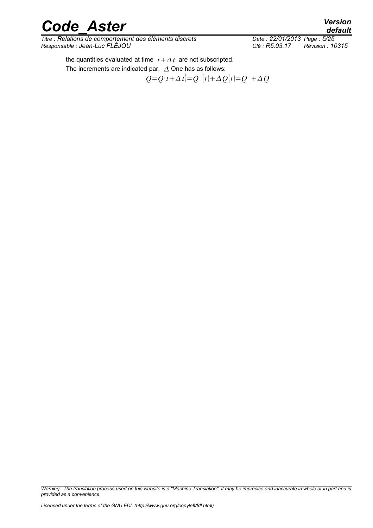*Titre : Relations de comportement des éléments discrets Date : 22/01/2013 Page : 5/25 Responsable : Jean-Luc FLÉJOU Clé : R5.03.17 Révision : 10315*

the quantities evaluated at time  $t + \Delta t$  are not subscripted. The increments are indicated par.  $\Delta$  One has as follows:

$$
Q = Q(t + \Delta t) = Q^{-}(t) + \Delta Q(t) = Q^{-} + \Delta Q
$$

*Warning : The translation process used on this website is a "Machine Translation". It may be imprecise and inaccurate in whole or in part and is provided as a convenience.*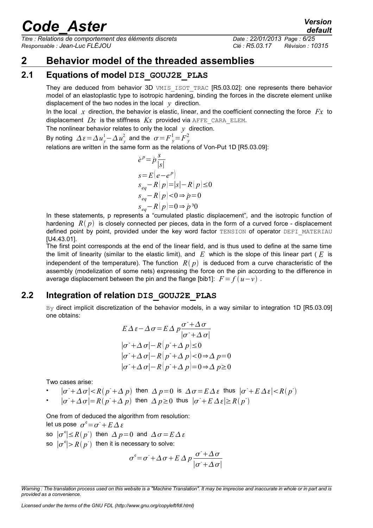*Titre : Relations de comportement des éléments discrets Date : 22/01/2013 Page : 6/25 Responsable : Jean-Luc FLÉJOU Clé : R5.03.17 Révision : 10315*

# <span id="page-5-2"></span>**2 Behavior model of the threaded assemblies**

### **2.1 Equations of model DIS\_GOUJ2E\_PLAS**

<span id="page-5-1"></span>They are deduced from behavior 3D VMIS ISOT TRAC [R5.03.02]: one represents there behavior model of an elastoplastic type to isotropic hardening, binding the forces in the discrete element unlike displacement of the two nodes in the local  $y$  direction.

In the local *x* direction, the behavior is elastic, linear, and the coefficient connecting the force *Fx* to displacement  $Dx$  is the stiffness  $Kx$  provided via AFFE CARA ELEM.

The nonlinear behavior relates to only the local *y* direction.

By noting  $\Delta \varepsilon$   $=$   $\Delta u_y^1$   $\Delta u_y^2$  and the  $\sigma$   $=$   $F_y^1$   $=$   $F_y^2$ relations are written in the same form as the relations of Von-Put 1D [R5.03.09]:

$$
\dot{e}^p = \dot{p}\frac{s}{|s|} \ns = E(e-e^p) \ns_{eq} - R(p) = |s| - R(p) \le 0 \ns_{eq} - R(p) < 0 \Rightarrow \dot{p} = 0 \ns_{eq} - R(p) = 0 \Rightarrow \dot{p}^3 0
$$

In these statements, p represents a "cumulated plastic displacement", and the isotropic function of hardening  $R(p)$  is closely connected per pieces, data in the form of a curved force - displacement defined point by point, provided under the key word factor TENSION of operator DEFI\_MATERIAU [U4.43.01].

The first point corresponds at the end of the linear field, and is thus used to define at the same time the limit of linearity (similar to the elastic limit), and *E* which is the slope of this linear part ( *E* is independent of the temperature). The function  $R(p)$  is deduced from a curve characteristic of the assembly (modelization of some nets) expressing the force on the pin according to the difference in average displacement between the pin and the flange [bib1]:  $F = f(u-v)$ .

#### **2.2 Integration of relation DIS\_GOUJ2E\_PLAS**

<span id="page-5-0"></span>By direct implicit discretization of the behavior models, in a way similar to integration 1D [R5.03.09] one obtains:

$$
E \Delta \varepsilon - \Delta \sigma = E \Delta p \frac{\sigma^+ + \Delta \sigma}{|\sigma^+ + \Delta \sigma|}
$$
  
\n
$$
|\sigma^+ + \Delta \sigma| - R(p^+ + \Delta p) \le 0
$$
  
\n
$$
|\sigma^+ + \Delta \sigma| - R(p^+ + \Delta p) < 0 \Rightarrow \Delta p = 0
$$
  
\n
$$
|\sigma^+ + \Delta \sigma| - R(p^+ + \Delta p) = 0 \Rightarrow \Delta p \ge 0
$$

Two cases arise:

•  $|\sigma + \Delta \sigma| < R(p + \Delta p)$  then  $\Delta p = 0$  is  $\Delta \sigma = E \Delta \varepsilon$  thus  $|\sigma + E \Delta \varepsilon| < R(p^{-})$ 

•  $|\sigma + \Delta \sigma| = R(p^2 + \Delta p)$  then  $\Delta p \ge 0$  thus  $|\sigma + E \Delta \varepsilon| \ge R(p^2)$ 

One from of deduced the algorithm from resolution:

let us pose  $\sigma^e = \sigma^+ + E \Delta \varepsilon$ so  $|\sigma^e| \le R(p^{\dagger})$  then  $\Delta p = 0$  and  $\Delta \sigma = E \Delta \varepsilon$ so  $|\sigma^e| > R(p^{-})$  then it is necessary to solve:

$$
\sigma^e = \sigma^+ + \Delta \sigma + E \Delta p \frac{\sigma^+ + \Delta \sigma}{|\sigma^+ + \Delta \sigma|}
$$

*default*

*Warning : The translation process used on this website is a "Machine Translation". It may be imprecise and inaccurate in whole or in part and is provided as a convenience.*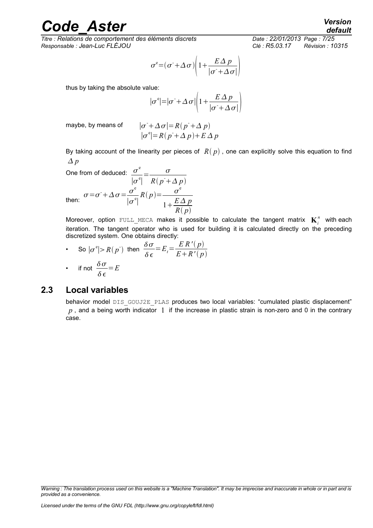*Titre : Relations de comportement des éléments discrets Date : 22/01/2013 Page : 7/25 Responsable : Jean-Luc FLÉJOU Clé : R5.03.17 Révision : 10315*

*default*

$$
\sigma^e = (\sigma + \Delta \sigma) \left( 1 + \frac{E \Delta p}{|\sigma^+ + \Delta \sigma|} \right)
$$

thus by taking the absolute value:

$$
|\sigma^e| = |\sigma + \Delta \sigma| \left( 1 + \frac{E \Delta p}{|\sigma + \Delta \sigma|} \right)
$$

maybe, by means of

$$
|\sigma^+ + \Delta \sigma| = R(p^+ + \Delta p)
$$
  

$$
|\sigma^e| = R(p^+ + \Delta p) + E \Delta p
$$

By taking account of the linearity per pieces of  $R(p)$ , one can explicitly solve this equation to find *Δp* 

One from of deduced: 
$$
\frac{\sigma^e}{|\sigma^e|} = \frac{\sigma}{R(p^2 + \Delta p)}
$$
  
then: 
$$
\sigma = \sigma^2 + \Delta \sigma = \frac{\sigma^e}{|\sigma^e|} R(p) = \frac{\sigma^e}{1 + \frac{E \Delta p}{R(p)}}
$$

Moreover, option  $\texttt{Full\_MECA}$  makes it possible to calculate the tangent matrix  $\textbf{K}_i^n$  with each iteration. The tangent operator who is used for building it is calculated directly on the preceding discretized system. One obtains directly:

• So 
$$
|\sigma^e| > R(p^r)
$$
 then  $\frac{\delta \sigma}{\delta \epsilon} = E_t = \frac{ER'(p)}{E + R'(p)}$ 

• if not 
$$
\frac{\delta \sigma}{\delta \epsilon} = E
$$

#### **2.3 Local variables**

<span id="page-6-0"></span>behavior model DIS\_GOUJ2E\_PLAS produces two local variables: "cumulated plastic displacement"  $p$ , and a being worth indicator 1 if the increase in plastic strain is non-zero and 0 in the contrary case.

*Warning : The translation process used on this website is a "Machine Translation". It may be imprecise and inaccurate in whole or in part and is provided as a convenience.*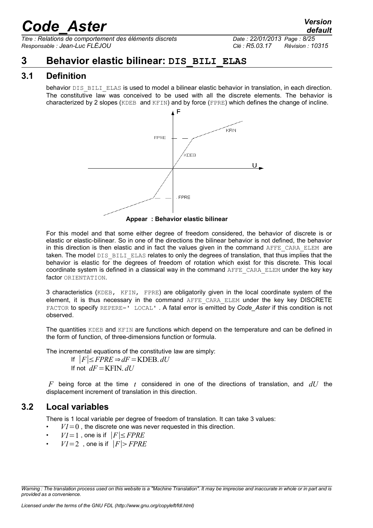*Titre : Relations de comportement des éléments discrets Date : 22/01/2013 Page : 8/25 Responsable : Jean-Luc FLÉJOU Clé : R5.03.17 Révision : 10315*

## <span id="page-7-2"></span>**3 Behavior elastic bilinear: DIS\_BILI\_ELAS**

### **3.1 Definition**

<span id="page-7-1"></span>behavior DIS\_BILI\_ELAS is used to model a bilinear elastic behavior in translation, in each direction. The constitutive law was conceived to be used with all the discrete elements. The behavior is characterized by 2 slopes (KDEB and KFIN) and by force (FPRE) which defines the change of incline.



**Appear : Behavior elastic bilinear**

For this model and that some either degree of freedom considered, the behavior of discrete is or elastic or elastic-bilinear. So in one of the directions the bilinear behavior is not defined, the behavior in this direction is then elastic and in fact the values given in the command AFFE\_CARA\_ELEM\_are taken. The model DIS BILI ELAS relates to only the degrees of translation, that thus implies that the behavior is elastic for the degrees of freedom of rotation which exist for this discrete. This local coordinate system is defined in a classical way in the command AFFE\_CARA\_ELEM under the key key factor ORIENTATION.

3 characteristics (KDEB, KFIN, FPRE) are obligatorily given in the local coordinate system of the element, it is thus necessary in the command AFFE CARA ELEM under the key key DISCRETE FACTOR to specify REPERE=' LOCAL' . A fatal error is emitted by *Code\_Aster* if this condition is not observed.

The quantities KDEB and KFIN are functions which depend on the temperature and can be defined in the form of function, of three-dimensions function or formula.

The incremental equations of the constitutive law are simply:

If ∣*F*∣≤*FPRE* ⇒*dF*=KDEB. *dU* If not  $dF = KFIN$   $dU$ 

*F* being force at the time *t* considered in one of the directions of translation, and *dU* the displacement increment of translation in this direction.

### **3.2 Local variables**

<span id="page-7-0"></span>There is 1 local variable per degree of freedom of translation. It can take 3 values:

- $\cdot$   $V1=0$ , the discrete one was never requested in this direction.
- *V1*=1 , one is if ∣*F*∣≤*FPRE*
- $V1=2$ , one is if  $|F|$ *>FPRE*

*Warning : The translation process used on this website is a "Machine Translation". It may be imprecise and inaccurate in whole or in part and is provided as a convenience.*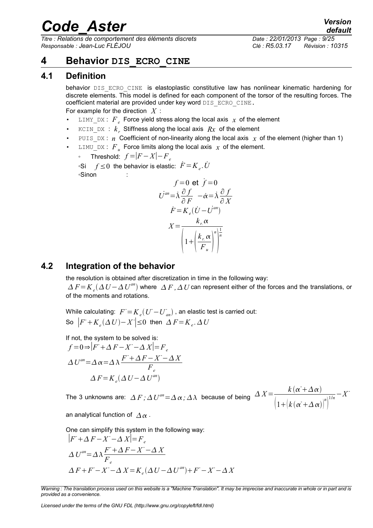*Titre : Relations de comportement des éléments discrets Date : 22/01/2013 Page : 9/25 Responsable : Jean-Luc FLÉJOU Clé : R5.03.17 Révision : 10315*

### <span id="page-8-2"></span>**4 Behavior DIS\_ECRO\_CINE**

### **4.1 Definition**

<span id="page-8-1"></span>behavior DIS\_ECRO\_CINE is elastoplastic constitutive law has nonlinear kinematic hardening for discrete elements. This model is defined for each component of the torsor of the resulting forces. The coefficient material are provided under key word DIS\_ECRO\_CINE.

For example for the direction *X* :

- LIMY\_DX :  $F_e$  Force yield stress along the local axis  $\chi$  of the element
- $KCIN_DX : k_r$  Stiffness along the local axis  $Rx$  of the element
- PUIS DX : *n* Coefficient of non-linearity along the local axis  $x$  of the element (higher than 1)
- LIMU\_DX :  $F_u$  Force limits along the local axis  $\chi$  of the element.

Threshold:  $f = |F - X| - F_e$  $\epsilon$ Si  $f \leq 0$  the behavior is elastic:  $\dot{F} = K_e$ .  $\dot{U}$ ◦Sinon :

$$
f = 0 \text{ et } f = 0
$$
  

$$
U^{an} = \lambda \frac{\partial f}{\partial F} - \alpha = \lambda \frac{\partial f}{\partial X}
$$
  

$$
\dot{F} = K_e (\dot{U} - U^{an})
$$
  

$$
X = \frac{k_r \alpha}{\left(1 + \left(\frac{k_r \alpha}{F_u}\right)^n\right)^{\frac{1}{n}}}
$$

### **4.2 Integration of the behavior**

<span id="page-8-0"></span>the resolution is obtained after discretization in time in the following way:

 $\varDelta\,F\!=\!K_{\,e}(\varDelta\,U\!-\!\varDelta\,U^{an})$  where  $\,\varDelta\,F$  *,*  $\varDelta\,U$  can represent either of the forces and the translations, or of the moments and rotations.

While calculating:  $\overline{F}=K_{e}(U-U_{an}^{+})$  , an elastic test is carried out: So  $|F^+ + K_e(\Delta U) - X| \leq 0$  then  $\Delta F = K_e \Delta U$ 

If not, the system to be solved is:

$$
f = 0 \Rightarrow |F + \Delta F - X - \Delta X| = F_e
$$
  
\n
$$
\Delta U^{an} = \Delta \alpha = \Delta \lambda \frac{F + \Delta F - X - \Delta X}{F_e}
$$
  
\n
$$
\Delta F = K_e (\Delta U - \Delta U^{an})
$$

The 3 unknowns are:  $\varDelta \, F$  ;  $\varDelta \, U^{an} {=} \varDelta \, \alpha$  ;  $\varDelta \, \lambda \;$  because of being  $\; \varDelta \, X {=}$ 

$$
=\frac{k(\alpha^{2}+\Delta\alpha)}{\left(1+\left(k(\alpha^{2}+\Delta\alpha)\right)^{n}\right)^{1/n}}-X
$$

-

an analytical function of  $\Delta \alpha$ .

One can simplify this system in the following way:

$$
|F + \Delta F - X - \Delta X| = F_e
$$
  
\n
$$
\Delta U^{an} = \Delta \lambda \frac{F + \Delta F - X - \Delta X}{F_e}
$$
  
\n
$$
\Delta F + F - X - \Delta X = K_e (\Delta U - \Delta U^{an}) + F - X - \Delta X
$$

*Licensed under the terms of the GNU FDL (http://www.gnu.org/copyleft/fdl.html)*

*Warning : The translation process used on this website is a "Machine Translation". It may be imprecise and inaccurate in whole or in part and is provided as a convenience.*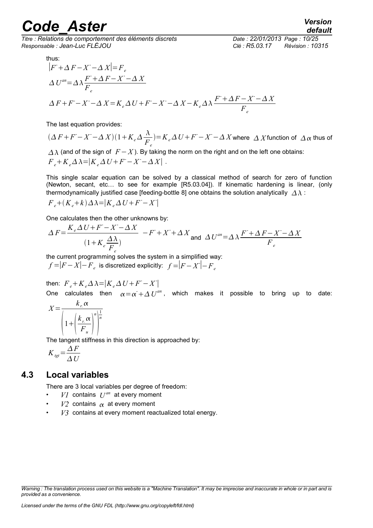*Titre : Relations de comportement des éléments discrets Date : 22/01/2013 Page : 10/25 Responsable : Jean-Luc FLÉJOU Clé : R5.03.17 Révision : 10315*

*default*

thus:

$$
|F + \Delta F - X - \Delta X| = F_e
$$
  
\n
$$
\Delta U^{an} = \Delta \lambda \frac{F + \Delta F - X - \Delta X}{F_e}
$$
  
\n
$$
\Delta F + F - X - \Delta X = K_e \Delta U + F - X - \Delta X - K_e \Delta \lambda \frac{F + \Delta F - X - \Delta X}{F_e}
$$

The last equation provides:

 $(\Delta F + F - X - \Delta X)(1 + K_e \Delta \frac{\lambda}{F})$ *Fe*  $=$  *K*<sub>*e*</sub> ∆ *U* + *F*<sup>−</sup> − *X*<sup>−</sup> − ∆ *X* where  $\Delta$  *X* function of  $\Delta$  α thus of  $\Delta \lambda$  (and of the sign of  $F-X$ ). By taking the norm on the right and on the left one obtains:  $F_e + K_e \Delta \lambda = |K_e \Delta U + F - X - \Delta X|$ .

This single scalar equation can be solved by a classical method of search for zero of function (Newton, secant, etc… to see for example [R5.03.04]). If kinematic hardening is linear, (only thermodynamically justified case [feeding-bottle 8] one obtains the solution analytically  $\Delta \lambda$ :

$$
\boldsymbol{F}_e\!+\!(\boldsymbol{K}_e\!+\!k)\!\,\Delta\lambda\!=\!\!|\boldsymbol{K}_e\!\,\Delta\,U\!+\!F\!-\!X\! \,]
$$

One calculates then the other unknowns by:

$$
\Delta F = \frac{K_e \Delta U + F - X - \Delta X}{(1 + K_e \frac{\Delta \lambda}{F_e})} - F + X + \Delta X
$$
 and  $\Delta U^{an} = \Delta \lambda \frac{F + \Delta F - X - \Delta X}{F_e}$ 

the current programming solves the system in a simplified way: *f* = $|F - X| - F$ <sub>e</sub> is discretized explicitly:  $f = |F - X| - F$ <sub>e</sub>

then:  $F_e + K_e \Delta \lambda = |K_e \Delta U + F - X|$ One calculates then  $\alpha = \alpha + \Delta U^{an}$ , which makes it possible to bring up to date:

$$
X = \frac{k_r \alpha}{\left(1 + \left(\frac{k_r \alpha}{F_u}\right)^n\right)^{\frac{1}{n}}}
$$

The tangent stiffness in this direction is approached by:

$$
K_{\text{tgt}} = \frac{\Delta F}{\Delta U}
$$

### **4.3 Local variables**

<span id="page-9-0"></span>There are 3 local variables per degree of freedom:

- *V1* contains  $U^{an}$  at every moment
- $V2$  contains  $\alpha$  at every moment
- *V3* contains at every moment reactualized total energy.

*Warning : The translation process used on this website is a "Machine Translation". It may be imprecise and inaccurate in whole or in part and is provided as a convenience.*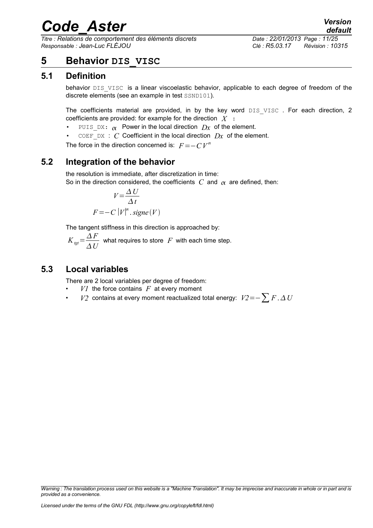*Titre : Relations de comportement des éléments discrets Date : 22/01/2013 Page : 11/25 Responsable : Jean-Luc FLÉJOU Clé : R5.03.17 Révision : 10315*

*default*

# <span id="page-10-3"></span>**5 Behavior DIS\_VISC**

### **5.1 Definition**

<span id="page-10-2"></span>behavior DIS VISC is a linear viscoelastic behavior, applicable to each degree of freedom of the discrete elements (see an example in test SSND101).

The coefficients material are provided, in by the key word DIS VISC. For each direction, 2 coefficients are provided: for example for the direction *X* :

- PUIS DX:  $\alpha$  Power in the local direction  $Dx$  of the element.
- COEF DX : *C* Coefficient in the local direction  $Dx$  of the element.

The force in the direction concerned is:  $\overline{F}$  =−*CV*<sup> $\alpha$ </sup>

### **5.2 Integration of the behavior**

<span id="page-10-1"></span>the resolution is immediate, after discretization in time: So in the direction considered, the coefficients  $C$  and  $\alpha$  are defined, then:

$$
V = \frac{\Delta U}{\Delta t}
$$
  
F = -C |V|<sup>α</sup>. *signe(V)*

The tangent stiffness in this direction is approached by:

 $K_{\text{tgt}} = \frac{\Delta F}{\Delta H}$  $\Delta U$ what requires to store *F* with each time step.

#### **5.3 Local variables**

<span id="page-10-0"></span>There are 2 local variables per degree of freedom:

- $VI$  the force contains  $F$  at every moment
- *V2* contains at every moment reactualized total energy: *V2*=−∑*<sup>F</sup>* .*<sup>U</sup>*

*Warning : The translation process used on this website is a "Machine Translation". It may be imprecise and inaccurate in whole or in part and is provided as a convenience.*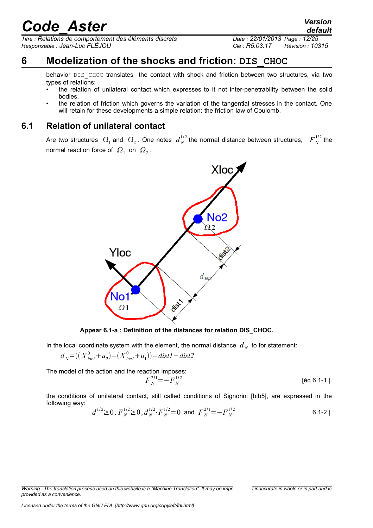*Titre : Relations de comportement des éléments discrets Date : 22/01/2013 Page : 12/25 Responsable : Jean-Luc FLÉJOU Clé : R5.03.17 Révision : 10315*

*default*

# **6 Modelization of the shocks and friction: DIS\_CHOC**

<span id="page-11-1"></span>behavior DIS\_CHOC translates the contact with shock and friction between two structures, via two types of relations:

- the relation of unilateral contact which expresses to it not inter-penetrability between the solid bodies,
- the relation of friction which governs the variation of the tangential stresses in the contact. One will retain for these developments a simple relation: the friction law of Coulomb.

### **6.1 Relation of unilateral contact**

<span id="page-11-0"></span>Are two structures  $\Omega_1$  and  $\Omega_2$  . One notes  $d_N^{1/2}$  the normal distance between structures,  $F_N^{1/2}$  the normal reaction force of  $\mathit{\Omega}_1$  on  $\mathit{\Omega}_2$  .



**Appear 6.1-a : Definition of the distances for relation DIS\_CHOC.**

In the local coordinate system with the element, the normal distance  $\,d_{\,N}\,$  to for statement:

$$
d_N = ((X_{loc2}^0 + u_2) - (X_{loc1}^0 + u_1)) - dist1 - dist2
$$

The model of the action and the reaction imposes:

$$
F_N^{2/1} = -F_N^{1/2}
$$
 [éq 6.1-1]

the conditions of unilateral contact, still called conditions of Signorini [bib5], are expressed in the following way:

$$
d^{1/2} \ge 0
$$
,  $F_N^{1/2} \ge 0$ ,  $d_N^{1/2} \cdot F_N^{1/2} = 0$  and  $F_N^{2/1} = -F_N^{1/2}$  6.1-2]

*Warning : The translation process used on this website is a "Machine Translation". It may be imprecise and inaccurate in whole or in part and is provided as a convenience.*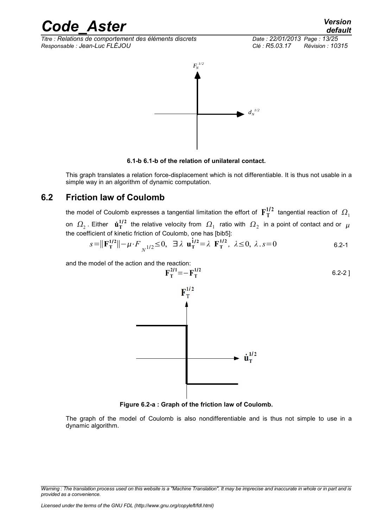

#### **6.1-b 6.1-b of the relation of unilateral contact.**

This graph translates a relation force-displacement which is not differentiable. It is thus not usable in a simple way in an algorithm of dynamic computation.

### **6.2 Friction law of Coulomb**

<span id="page-12-0"></span>the model of Coulomb expresses a tangential limitation the effort of  $\, {\bf F}_{\rm T}^{1/2} \,$  tangential reaction of  $\, \Omega_{1} \,$ on  $\,\varOmega_2$  . Either  $\,\dot{\bf u}_{\rm T}^{1/2}\,$  the relative velocity from  $\,\varOmega_1\,$  ratio with  $\,\varOmega_2\,$  in a point of contact and or  $\,\mu$ the coefficient of kinetic friction of Coulomb, one has [bib5]:

$$
s = ||\mathbf{F}_{\mathbf{T}}^{1/2}|| - \mu \cdot F_{N^{1/2}} \le 0, \quad \exists \lambda \mathbf{u}_{\mathbf{T}}^{1/2} = \lambda \mathbf{F}_{\mathbf{T}}^{1/2}, \quad \lambda \le 0, \quad \lambda \cdot s = 0 \tag{6.2-1}
$$

and the model of the action and the reaction:



**Figure 6.2-a : Graph of the friction law of Coulomb.**

The graph of the model of Coulomb is also nondifferentiable and is thus not simple to use in a dynamic algorithm.

*Warning : The translation process used on this website is a "Machine Translation". It may be imprecise and inaccurate in whole or in part and is provided as a convenience.*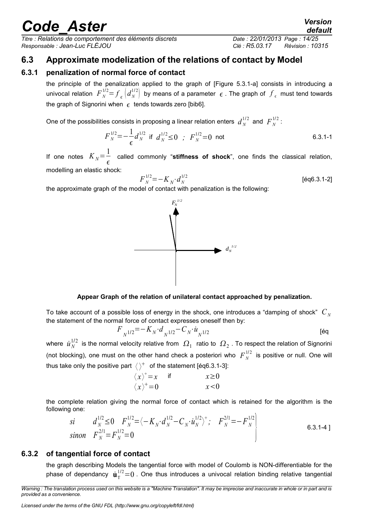*Titre : Relations de comportement des éléments discrets Date : 22/01/2013 Page : 14/25 Responsable : Jean-Luc FLÉJOU Clé : R5.03.17 Révision : 10315*

### <span id="page-13-0"></span>**6.3 Approximate modelization of the relations of contact by Model**

### **6.3.1 penalization of normal force of contact**

the principle of the penalization applied to the graph of [Figure 5.3.1-a] consists in introducing a univocal relation  $\;F^{1/2}_N\!=\!f_{\;\epsilon}\left(d^{1/2}_N\right)\;$  by means of a parameter  $\;\epsilon$  . The graph of  $\;f_{\;\epsilon}\;$  must tend towards the graph of Signorini when  $\epsilon$  tends towards zero [bib6].

One of the possibilities consists in proposing a linear relation enters  $d_N^{1/2}$  and  $F_N^{1/2}$ :

$$
F_N^{1/2} = -\frac{1}{\epsilon} d_N^{1/2} \text{ if } d_N^{1/2} \le 0 \quad ; \quad F_N^{1/2} = 0 \text{ not} \tag{6.3.1-1}
$$

If one notes  $K_N = \frac{1}{2}$  $\epsilon$  called commonly "**stiffness of shock**", one finds the classical relation, modelling an elastic shock:

$$
F_N^{1/2} = -K_N \cdot d_N^{1/2}
$$
 [éq6.3.1-2]

the approximate graph of the model of contact with penalization is the following:

**Appear Graph of the relation of unilateral contact approached by penalization.**

To take account of a possible loss of energy in the shock, one introduces a "damping of shock"  $C_N$ the statement of the normal force of contact expresses oneself then by:

$$
F_{N^{1/2}} = -K_{N} \cdot d_{N^{1/2}} - C_{N} \cdot u_{N^{1/2}}
$$
 [éq]

where  $\dot{u}_N^{1/2}$  is the normal velocity relative from  $\,\varOmega_1^{}\,$  ratio to  $\,\varOmega_2^{}\,$  . To respect the relation of Signorini (not blocking), one must on the other hand check a posteriori who  $F_N^{1/2}$  is positive or null. One will thus take only the positive part  $\langle\rangle^+~$  of the statement [é[q6.3.1-3\]](#page-13-1):

<span id="page-13-1"></span>
$$
\begin{array}{ccc}\n\langle x \rangle^+ = x & \text{if} & x \ge 0 \\
\langle x \rangle^+ = 0 & x < 0\n\end{array}
$$

the complete relation giving the normal force of contact which is retained for the algorithm is the following one:

$$
\begin{array}{ll}\n\sin \theta_N^{1/2} \leq 0 & F_N^{1/2} = \langle -K_N \cdot d_N^{1/2} - C_N \cdot \dot{u}_N^{1/2} \rangle^+; & F_N^{2/1} = -F_N^{1/2} \\
\sin \theta_N & F_N^{2/1} = F_N^{1/2} = 0 & \\
\end{array} \tag{6.3.1-4}
$$

#### **6.3.2 of tangential force of contact**

the graph describing Models the tangential force with model of Coulomb is NON-differentiable for the phase of dependancy  $\dot{\mathbf{u}}_{\rm T}^{1/2}{=}0$  . One thus introduces a univocal relation binding relative tangential



*Warning : The translation process used on this website is a "Machine Translation". It may be imprecise and inaccurate in whole or in part and is provided as a convenience.*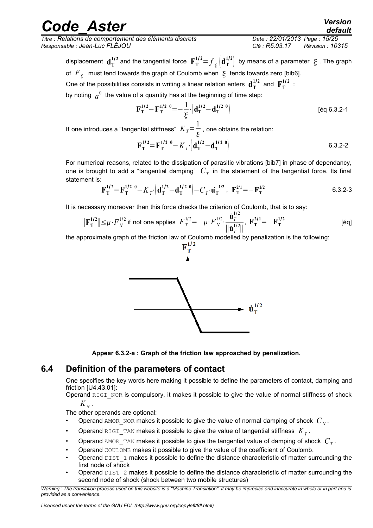*Titre : Relations de comportement des éléments discrets Date : 22/01/2013 Page : 15/25 Responsable : Jean-Luc FLÉJOU Clé : R5.03.17 Révision : 10315*

# *default*

displacement  $\mathbf{d}_\mathrm{T}^{1/2}$  and the tangential force  $\mathbf{F}_\mathrm{T}^{1/2}{=}\int_\xi\big(\mathbf{d}_\mathrm{T}^{1/2}\big)$  by means of a parameter  $\,\xi$  . The graph of  $F_{\varepsilon}$  must tend towards the graph of Coulomb when  $\xi$  tends towards zero [bib6]. One of the possibilities consists in writing a linear relation enters  $\,\mathbf{d}_\mathrm{T}^{1/2}\,$  and  $\,\mathbf{F}_\mathrm{T}^{1/2}\,$  : by noting  $\,a^0\,$  the value of a quantity has at the beginning of time step:

$$
\mathbf{F}_{\mathbf{T}}^{1/2} - \mathbf{F}_{\mathbf{T}}^{1/2} = -\frac{1}{\xi} \cdot \left( \mathbf{d}_{\mathbf{T}}^{1/2} - \mathbf{d}_{\mathbf{T}}^{1/2} \right)
$$
 [eq 6.3.2-1]

If one introduces a "tangential stiffness"  $\overline{K}_{T}{=}\frac{1}{\overline{\check{K}}}$ , one obtains the relation:

$$
\mathbf{F}_{\mathbf{T}}^{1/2} = \mathbf{F}_{\mathbf{T}}^{1/2} \mathbf{0} - K_T \left( \mathbf{d}_{\mathbf{T}}^{1/2} - \mathbf{d}_{\mathbf{T}}^{1/2} \mathbf{0} \right)
$$
 6.3.2-2

For numerical reasons, related to the dissipation of parasitic vibrations [bib7] in phase of dependancy, one is brought to add a "tangential damping"  $\,C_{\,T}\,$  in the statement of the tangential force. Its final statement is:

$$
\mathbf{F}_{\mathrm{T}}^{1/2} = \mathbf{F}_{\mathrm{T}}^{1/2} \, \mathbf{0} - K_{T} \cdot \left( \mathbf{d}_{\mathrm{T}}^{1/2} - \mathbf{d}_{\mathrm{T}}^{1/2} \, \mathbf{0} \right) - C_{T} \cdot \mathbf{u}_{\mathrm{T}}^{1/2} \,, \quad \mathbf{F}_{\mathrm{T}}^{2/1} = -\mathbf{F}_{\mathrm{T}}^{1/2} \tag{6.3.2-3}
$$

It is necessary moreover than this force checks the criterion of Coulomb, that is to say:

$$
\|\mathbf{F}_{\mathbf{T}}^{1/2}\| \leq \mu \cdot F_{N}^{1/2} \text{ if not one applies } F_{T}^{1/2} = -\mu \cdot F_{N}^{1/2} \cdot \frac{\dot{\mathbf{u}}_{T}^{1/2}}{\|\dot{\mathbf{u}}_{T}^{1/2}\|}, \ \mathbf{F}_{\mathbf{T}}^{2/1} = -\mathbf{F}_{\mathbf{T}}^{1/2} \tag{eq1}
$$

the approximate graph of the friction law of Coulomb modelled by penalization is the following:



**Appear 6.3.2-a : Graph of the friction law approached by penalization.**

#### **6.4 Definition of the parameters of contact**

<span id="page-14-0"></span>One specifies the key words here making it possible to define the parameters of contact, damping and friction [U4.43.01]:

Operand RIGI\_NOR is compulsory, it makes it possible to give the value of normal stiffness of shock  $K_{\scriptscriptstyle N}$  .

The other operands are optional:

- Operand  $\texttt{AMOR}\_\texttt{NOR}$  makes it possible to give the value of normal damping of shock  $\textit{\textbf{C}}_N$ .
- $\;\;$  Operand <code>RIGI\_TAN</code> makes it possible to give the value of tangential stiffness  $\,K_{\it T}^{}$  .
- $\;\;$  Operand  $\text{\tiny{AMOR\_TAN}}$  makes it possible to give the tangential value of damping of shock  $\;C_{\it{T}}$  .
- Operand COULOMB makes it possible to give the value of the coefficient of Coulomb.
- Operand DIST 1 makes it possible to define the distance characteristic of matter surrounding the first node of shock
- Operand DIST 2 makes it possible to define the distance characteristic of matter surrounding the second node of shock (shock between two mobile structures)

*Warning : The translation process used on this website is a "Machine Translation". It may be imprecise and inaccurate in whole or in part and is provided as a convenience.*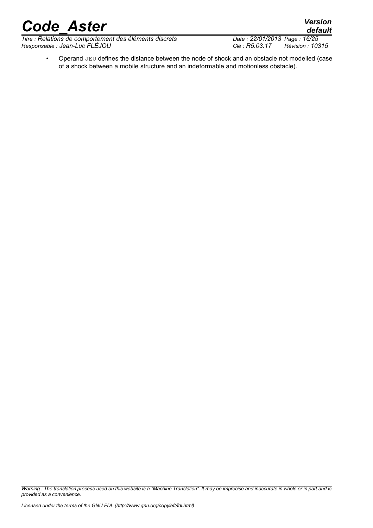$\overline{T}$ itre : Relations de comportement des éléments discrets *Responsable : Jean-Luc FLÉJOU Clé : R5.03.17 Révision : 10315*

*default*

• Operand JEU defines the distance between the node of shock and an obstacle not modelled (case of a shock between a mobile structure and an indeformable and motionless obstacle).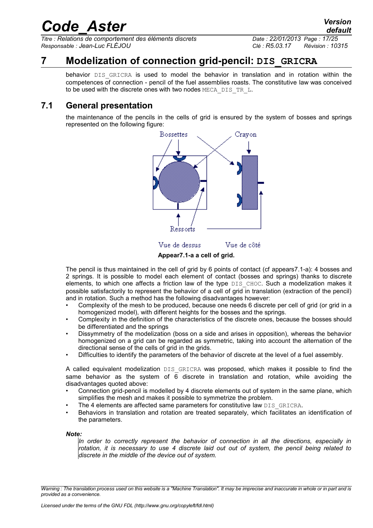*Titre : Relations de comportement des éléments discrets Date : 22/01/2013 Page : 17/25 Responsable : Jean-Luc FLÉJOU Clé : R5.03.17 Révision : 10315*

*default*

# **7 Modelization of connection grid-pencil: DIS\_GRICRA**

<span id="page-16-1"></span>behavior DIS GRICRA is used to model the behavior in translation and in rotation within the competences of connection - pencil of the fuel assemblies roasts. The constitutive law was conceived to be used with the discrete ones with two nodes MECA\_DIS\_TR\_L.

### **7.1 General presentation**

<span id="page-16-0"></span>the maintenance of the pencils in the cells of grid is ensured by the system of bosses and springs represented on the following figure:



<span id="page-16-2"></span>Vue de dessus Vue de côté **Appear7.1-a a cell of grid.**

The pencil is thus maintained in the cell of grid by 6 points of contact (cf appear[s7.1-a\)](#page-16-2): 4 bosses and 2 springs. It is possible to model each element of contact (bosses and springs) thanks to discrete elements, to which one affects a friction law of the type DIS CHOC. Such a modelization makes it possible satisfactorily to represent the behavior of a cell of grid in translation (extraction of the pencil) and in rotation. Such a method has the following disadvantages however:

- Complexity of the mesh to be produced, because one needs 6 discrete per cell of grid (or grid in a homogenized model), with different heights for the bosses and the springs.
- Complexity in the definition of the characteristics of the discrete ones, because the bosses should be differentiated and the springs
- Dissymmetry of the modelization (boss on a side and arises in opposition), whereas the behavior homogenized on a grid can be regarded as symmetric, taking into account the alternation of the directional sense of the cells of grid in the grids.
- Difficulties to identify the parameters of the behavior of discrete at the level of a fuel assembly.

A called equivalent modelization DIS GRICRA was proposed, which makes it possible to find the same behavior as the system of 6 discrete in translation and rotation, while avoiding the disadvantages quoted above:

- Connection grid-pencil is modelled by 4 discrete elements out of system in the same plane, which simplifies the mesh and makes it possible to symmetrize the problem.
- The 4 elements are affected same parameters for constitutive law DIS\_GRICRA.
- Behaviors in translation and rotation are treated separately, which facilitates an identification of the parameters.

#### *Note:*

*In order to correctly represent the behavior of connection in all the directions, especially in rotation, it is necessary to use 4 discrete laid out out of system, the pencil being related to discrete in the middle of the device out of system.*

*Warning : The translation process used on this website is a "Machine Translation". It may be imprecise and inaccurate in whole or in part and is provided as a convenience.*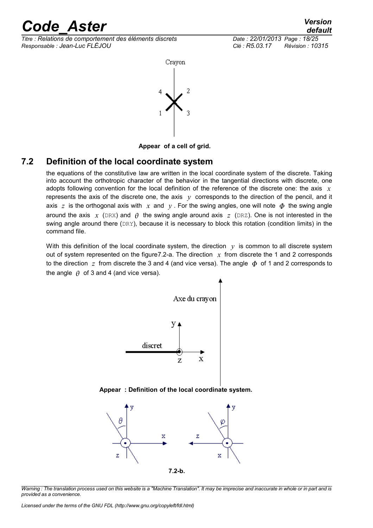*Titre : Relations de comportement des éléments discrets Date : 22/01/2013 Page : 18/25 Responsable : Jean-Luc FLÉJOU Clé : R5.03.17 Révision : 10315*



**Appear of a cell of grid.**

## **7.2 Definition of the local coordinate system**

<span id="page-17-0"></span>the equations of the constitutive law are written in the local coordinate system of the discrete. Taking into account the orthotropic character of the behavior in the tangential directions with discrete, one adopts following convention for the local definition of the reference of the discrete one: the axis *x* represents the axis of the discrete one, the axis  $y$  corresponds to the direction of the pencil, and it axis  $z$  is the orthogonal axis with  $x$  and  $y$ . For the swing angles, one will note  $\phi$  the swing angle around the axis  $x$  (DRX) and  $\theta$  the swing angle around axis  $z$  (DRZ). One is not interested in the swing angle around there (DRY), because it is necessary to block this rotation (condition limits) in the command file.

With this definition of the local coordinate system, the direction  $y$  is common to all discrete system out of system represented on the figure  $7.2$ -a. The direction  $\chi$  from discrete the 1 and 2 corresponds to the direction  $z$  from discrete the 3 and 4 (and vice versa). The angle  $\phi$  of 1 and 2 corresponds to the angle  $\theta$  of 3 and 4 (and vice versa).





<span id="page-17-1"></span>

*Warning : The translation process used on this website is a "Machine Translation". It may be imprecise and inaccurate in whole or in part and is provided as a convenience.*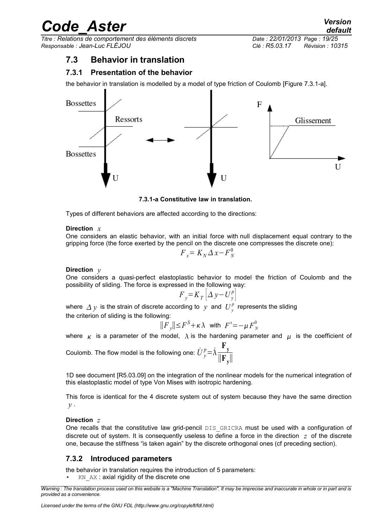*Titre : Relations de comportement des éléments discrets Date : 22/01/2013 Page : 19/25 Responsable : Jean-Luc FLÉJOU Clé : R5.03.17 Révision : 10315*

### <span id="page-18-0"></span>**7.3 Behavior in translation**

### **7.3.1 Presentation of the behavior**

the behavior in translation is modelled by a model of type friction of Coulomb [Figure [7.3.1-a\]](#page-18-1).



<span id="page-18-1"></span>**7.3.1-a Constitutive law in translation.**

Types of different behaviors are affected according to the directions:

#### **Direction** *x*

One considers an elastic behavior, with an initial force with null displacement equal contrary to the gripping force (the force exerted by the pencil on the discrete one compresses the discrete one):

$$
F_x = K_N \Delta x - F_N^0
$$

**Direction** *y*

One considers a quasi-perfect elastoplastic behavior to model the friction of Coulomb and the possibility of sliding. The force is expressed in the following way:

$$
F_y = K_T \left[ \Delta y - U_y^p \right]
$$

where  $\mathop{\Delta} y$  is the strain of discrete according to  $\mathop{y}$  and  $\mathop{U\mathstrut}\nolimits^p_y$  represents the sliding the criterion of sliding is the following:

$$
\|\overline{F}_y\| \le F^S + \kappa \lambda \quad \text{with} \quad F^s = -\mu F^0_N
$$

where  $\kappa$  is a parameter of the model,  $\lambda$  is the hardening parameter and  $\mu$  is the coefficient of

Coulomb. The flow model is the following one:  $\dot{U}_{y}^{p}\!=\!\dot{\lambda}\frac{\mathbf{F}_{\mathbf{y}}}{\mathbf{\parallel F}}$ ∥**Fy**∥

1D see document [R5.03.09] on the integration of the nonlinear models for the numerical integration of this elastoplastic model of type Von Mises with isotropic hardening.

This force is identical for the 4 discrete system out of system because they have the same direction *y* .

#### **Direction** *z*

One recalls that the constitutive law grid-pencil DIS GRICRA must be used with a configuration of discrete out of system. It is consequently useless to define a force in the direction *z* of the discrete one, because the stiffness "is taken again" by the discrete orthogonal ones (cf preceding section).

#### **7.3.2 Introduced parameters**

the behavior in translation requires the introduction of 5 parameters:

KN\_AX : axial rigidity of the discrete one

*Warning : The translation process used on this website is a "Machine Translation". It may be imprecise and inaccurate in whole or in part and is provided as a convenience.*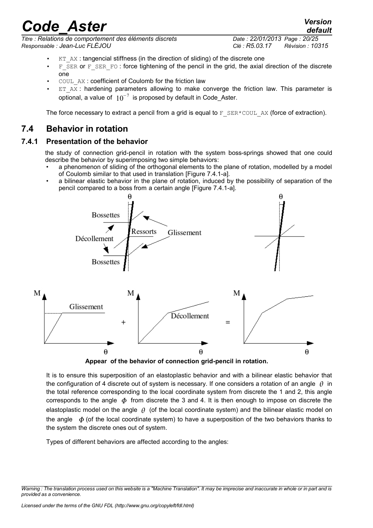*Titre : Relations de comportement des éléments discrets Date : 22/01/2013 Page : 20/25 Responsable : Jean-Luc FLÉJOU Clé : R5.03.17 Révision : 10315*

*default*

- KT\_AX : tangencial stiffness (in the direction of sliding) of the discrete one
- $\bullet$  F\_SER or F\_SER\_FO : force tightening of the pencil in the grid, the axial direction of the discrete one
- COUL\_AX : coefficient of Coulomb for the friction law
- $\overline{E}$  =  $\overline{AX}$  : hardening parameters allowing to make converge the friction law. This parameter is optional, a value of  $10^{-7}$  is proposed by default in Code\_Aster.

<span id="page-19-0"></span>The force necessary to extract a pencil from a grid is equal to  $F$  SER\*COUL AX (force of extraction).

### **7.4 Behavior in rotation**

#### **7.4.1 Presentation of the behavior**

the study of connection grid-pencil in rotation with the system boss-springs showed that one could describe the behavior by superimposing two simple behaviors:

- a phenomenon of sliding of the orthogonal elements to the plane of rotation, modelled by a model of Coulomb similar to that used in translation [Figure [7.4.1-a\]](#page-19-1).
- a bilinear elastic behavior in the plane of rotation, induced by the possibility of separation of the pencil compared to a boss from a certain angle [Figure [7.4.1-a\]](#page-19-1).



<span id="page-19-1"></span>

It is to ensure this superposition of an elastoplastic behavior and with a bilinear elastic behavior that the configuration of 4 discrete out of system is necessary. If one considers a rotation of an angle  $\theta$  in the total reference corresponding to the local coordinate system from discrete the 1 and 2, this angle corresponds to the angle  $\phi$  from discrete the 3 and 4. It is then enough to impose on discrete the elastoplastic model on the angle  $\theta$  (of the local coordinate system) and the bilinear elastic model on the angle  $\phi$  (of the local coordinate system) to have a superposition of the two behaviors thanks to the system the discrete ones out of system.

Types of different behaviors are affected according to the angles:

*Warning : The translation process used on this website is a "Machine Translation". It may be imprecise and inaccurate in whole or in part and is provided as a convenience.*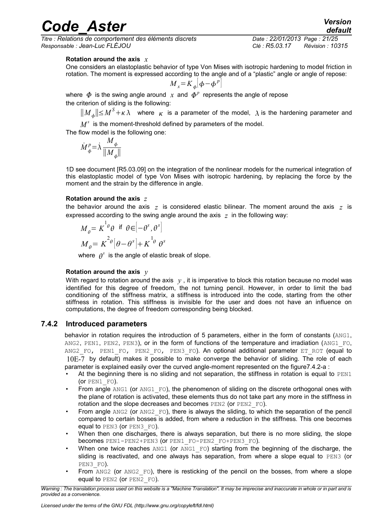*Titre : Relations de comportement des éléments discrets Date : 22/01/2013 Page : 21/25 Responsable : Jean-Luc FLÉJOU Clé : R5.03.17 Révision : 10315*

#### **Rotation around the axis** *x*

One considers an elastoplastic behavior of type Von Mises with isotropic hardening to model friction in rotation. The moment is expressed according to the angle and of a "plastic" angle or angle of repose:

$$
M_x = K_{\phi} \left[ \phi - \phi^p \right]
$$

where  $|\Phi|$  is the swing angle around  $|x|$  and  $|\Phi^p|$  represents the angle of repose the criterion of sliding is the following:

 $||M_{\phi}|| \leq M^{S} + \kappa \lambda$  where  $\kappa$  is a parameter of the model,  $\lambda$  is the hardening parameter and  $M^s_\parallel$  is the moment-threshold defined by parameters of the model.

The flow model is the following one:

$$
\dot{M}^p_{\phi} = \dot{\lambda} \frac{M_{\phi}}{\|M_{\phi}\|}
$$

1D see document [R5.03.09] on the integration of the nonlinear models for the numerical integration of this elastoplastic model of type Von Mises with isotropic hardening, by replacing the force by the moment and the strain by the difference in angle.

#### **Rotation around the axis** *z*

the behavior around the axis *z* is considered elastic bilinear. The moment around the axis *z* is expressed according to the swing angle around the axis *z* in the following way:

$$
M_{\theta} = K^{\theta} \theta \text{ if } \theta \in [-\theta^s, \theta^s]
$$

$$
M_{\theta} = K^{\theta} [\theta - \theta^s] + K^{\theta} \theta^s
$$

where  $\,\theta^s\,$  is the angle of elastic break of slope.

#### **Rotation around the axis** *y*

With regard to rotation around the axis  $y$ , it is imperative to block this rotation because no model was identified for this degree of freedom, the not turning pencil. However, in order to limit the bad conditioning of the stiffness matrix, a stiffness is introduced into the code, starting from the other stiffness in rotation. This stiffness is invisible for the user and does not have an influence on computations, the degree of freedom corresponding being blocked.

#### **7.4.2 Introduced parameters**

behavior in rotation requires the introduction of 5 parameters, either in the form of constants (ANG1, ANG2, PEN1, PEN2, PEN3), or in the form of functions of the temperature and irradiation (ANG1\_FO, ANG2 FO, PEN1 FO, PEN2 FO, PEN3 FO). An optional additional parameter ET ROT (equal to 10E-7 by default) makes it possible to make converge the behavior of sliding. The role of each parameter is explained easily over the curved angle-moment represented on the figur[e7.4.2-a](#page-21-2) :

- At the beginning there is no sliding and not separation, the stiffness in rotation is equal to PEN1 (or PEN1\_FO).
- From angle ANG1 (or ANG1 FO), the phenomenon of sliding on the discrete orthogonal ones with the plane of rotation is activated, these elements thus do not take part any more in the stiffness in rotation and the slope decreases and becomes PEN2 (Or PEN2 FO).
- From angle ANG2 (or ANG2 FO), there is always the sliding, to which the separation of the pencil compared to certain bosses is added, from where a reduction in the stiffness. This one becomes equal to PEN3 (or PEN3 FO).
- When then one discharges, there is always separation, but there is no more sliding, the slope becomes PEN1-PEN2+PEN3 (or PEN1\_FO-PEN2\_FO+PEN3\_FO).
- When one twice reaches  $AMGI$  (or  $AMGI$   $FO$ ) starting from the beginning of the discharge, the sliding is reactivated, and one always has separation, from where a slope equal to  $PEN3$  (or PEN3\_FO).
- From ANG2 (or ANG2 FO), there is resticking of the pencil on the bosses, from where a slope equal to PEN2 (or PEN2 FO).

*Warning : The translation process used on this website is a "Machine Translation". It may be imprecise and inaccurate in whole or in part and is provided as a convenience.*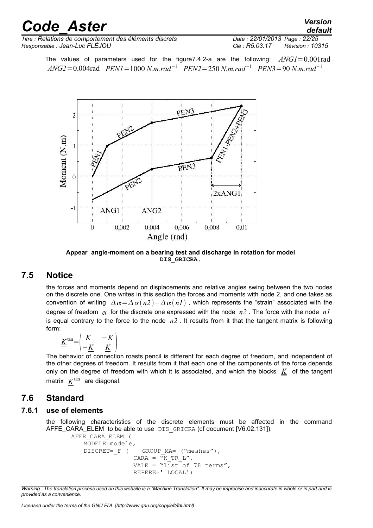*default*

*Titre : Relations de comportement des éléments discrets Date : 22/01/2013 Page : 22/25 Responsable : Jean-Luc FLÉJOU Clé : R5.03.17 Révision : 10315*

The values of parameters used for the figur[e7.4.2-a](#page-21-2) are the following: *ANG1*=0.001rad *ANG2*=0.004rad *PEN1*=1000 *N.m.rad*<sup>−</sup><sup>1</sup> *PEN2*=250 *N.m.rad*<sup>−</sup><sup>1</sup> *PEN3*=90 *N.m.rad*<sup>−</sup><sup>1</sup> .



<span id="page-21-2"></span>**Appear angle-moment on a bearing test and discharge in rotation for model DIS\_GRICRA.**

### **7.5 Notice**

<span id="page-21-1"></span>the forces and moments depend on displacements and relative angles swing between the two nodes on the discrete one. One writes in this section the forces and moments with node 2, and one takes as convention of writing  $\Delta \alpha = \Delta \alpha (n^2) - \Delta \alpha (n^2)$ , which represents the "strain" associated with the degree of freedom  $\alpha$  for the discrete one expressed with the node  $n^2$ . The force with the node  $n^2$ is equal contrary to the force to the node  $n^2$ . It results from it that the tangent matrix is following form:

$$
\underline{\underline{K}}^{\tan} = \begin{pmatrix} \underline{\underline{K}} & -\underline{\underline{K}} \\ -\underline{\underline{K}} & \underline{\underline{K}} \end{pmatrix}
$$

The behavior of connection roasts pencil is different for each degree of freedom, and independent of the other degrees of freedom. It results from it that each one of the components of the force depends only on the degree of freedom with which it is associated, and which the blocks  $K$  of the tangent matrix  $\underline{K}^{\text{tan}}$  are diagonal.

#### <span id="page-21-0"></span>**7.6 Standard**

#### **7.6.1 use of elements**

the following characteristics of the discrete elements must be affected in the command AFFE\_CARA\_ELEM\_to be able to use DIS\_GRICRA (cf document [V6.02.131]):

```
AFFE_CARA_ELEM (
   MODELE=modele, 
   DISCRET= F ( GROUP MA= ("meshes"),
                   CARA = \overline{K} TR L",
                   VALE = \sqrt{n}11st of 78 terms",
                   REPERE=' LOCAL')
```
*Warning : The translation process used on this website is a "Machine Translation". It may be imprecise and inaccurate in whole or in part and is provided as a convenience.*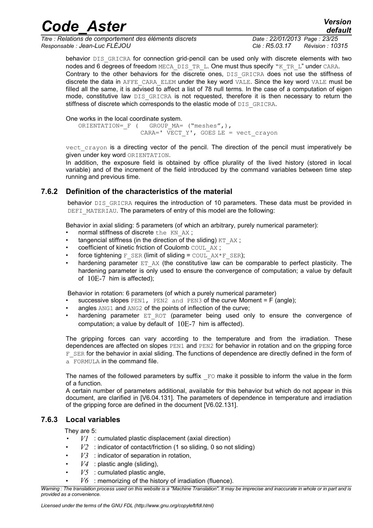*Titre : Relations de comportement des éléments discrets Date : 22/01/2013 Page : 23/25 Responsable : Jean-Luc FLÉJOU Clé : R5.03.17 Révision : 10315*

*default*

behavior DIS\_GRICRA for connection grid-pencil can be used only with discrete elements with two nodes and 6 degrees of freedom MECA\_DIS\_TR\_L. One must thus specify "K\_TR\_L" under CARA. Contrary to the other behaviors for the discrete ones, DIS\_GRICRA does not use the stiffness of discrete the data in AFFE\_CARA\_ELEM under the key word VALE. Since the key word VALE must be filled all the same, it is advised to affect a list of 78 null terms. In the case of a computation of eigen mode, constitutive law DIS GRICRA is not requested, therefore it is then necessary to return the stiffness of discrete which corresponds to the elastic mode of DIS\_GRICRA.

One works in the local coordinate system.

ORIENTATION= F ( GROUP MA= ("meshes",), CARA='  $\overline{V}$ ECT\_Y', GOES LE = vect\_crayon

vect crayon is a directing vector of the pencil. The direction of the pencil must imperatively be given under key word ORIENTATION.

In addition, the exposure field is obtained by office plurality of the lived history (stored in local variable) and of the increment of the field introduced by the command variables between time step running and previous time.

#### **7.6.2 Definition of the characteristics of the material**

behavior DIS\_GRICRA requires the introduction of 10 parameters. These data must be provided in DEFI\_MATERIAU. The parameters of entry of this model are the following:

Behavior in axial sliding: 5 parameters (of which an arbitrary, purely numerical parameter):

- normal stiffness of discrete the KN AX ;
- tangencial stiffness (in the direction of the sliding)  $KT$   $AX$ ;
- coefficient of kinetic friction of Coulomb COUL AX;
- force tightening F\_SER (limit of sliding = COUL\_AX\*F\_SER);
- hardening parameter ET AX (the constitutive law can be comparable to perfect plasticity. The hardening parameter is only used to ensure the convergence of computation; a value by default of 10E-7 him is affected);

Behavior in rotation: 6 parameters (of which a purely numerical parameter)

- successive slopes  $PEN1$ ,  $PEN2$  and  $PEN3$  of the curve Moment =  $F$  (angle);
- angles ANG1 and ANG2 of the points of inflection of the curve;
- hardening parameter ET ROT (parameter being used only to ensure the convergence of computation; a value by default of 10E-7 him is affected).

The gripping forces can vary according to the temperature and from the irradiation. These dependences are affected on slopes PEN1 and PEN2 for behavior in rotation and on the gripping force F\_SER for the behavior in axial sliding. The functions of dependence are directly defined in the form of a FORMULA in the command file.

The names of the followed parameters by suffix  $F \circ$  make it possible to inform the value in the form of a function.

A certain number of parameters additional, available for this behavior but which do not appear in this document, are clarified in [V6.04.131]. The parameters of dependence in temperature and irradiation of the gripping force are defined in the document [V6.02.131].

#### **7.6.3 Local variables**

They are 5:

- $VI$ : cumulated plastic displacement (axial direction)
- $V2$ : indicator of contact/friction (1 so sliding, 0 so not sliding)
- $V3$  : indicator of separation in rotation,
- $\cdot$  *V4* : plastic angle (sliding),
- $\cdot$   $V5$  : cumulated plastic angle.
- $V6$ : memorizing of the history of irradiation (fluence).

*Warning : The translation process used on this website is a "Machine Translation". It may be imprecise and inaccurate in whole or in part and is provided as a convenience.*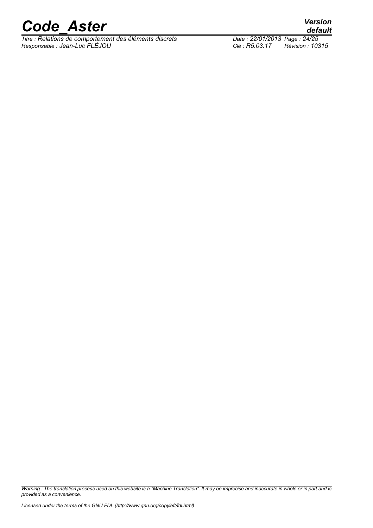*Titre : Relations de comportement des éléments discrets Date : 22/01/2013 Page : 24/25 Responsable : Jean-Luc FLÉJOU Clé : R5.03.17 Révision : 10315*